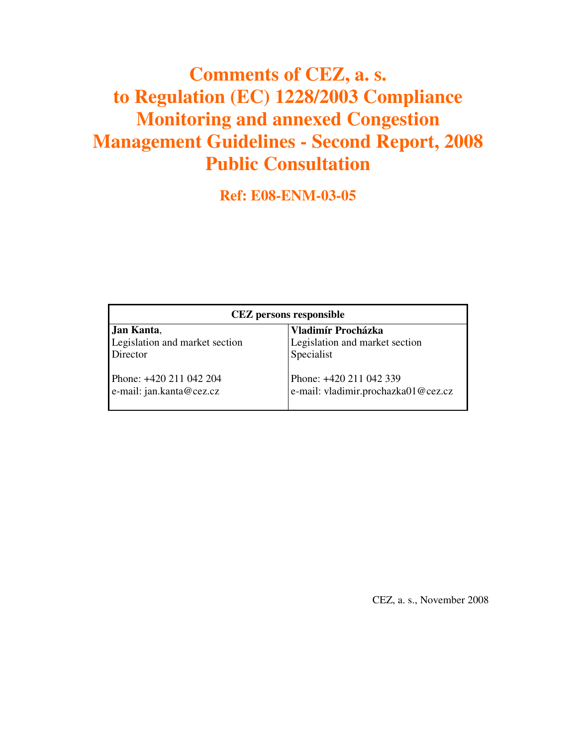## **Comments of CEZ, a. s. to Regulation (EC) 1228/2003 Compliance Monitoring and annexed Congestion Management Guidelines - Second Report, 2008 Public Consultation**

**Ref: E08-ENM-03-05**

| <b>CEZ</b> persons responsible                      |                                                                |
|-----------------------------------------------------|----------------------------------------------------------------|
| Jan Kanta,                                          | Vladimír Procházka                                             |
| Legislation and market section                      | Legislation and market section                                 |
| Director                                            | Specialist                                                     |
| Phone: +420 211 042 204<br>e-mail: jan.kanta@cez.cz | Phone: +420 211 042 339<br>e-mail: vladimir.prochazka01@cez.cz |

CEZ, a. s., November 2008